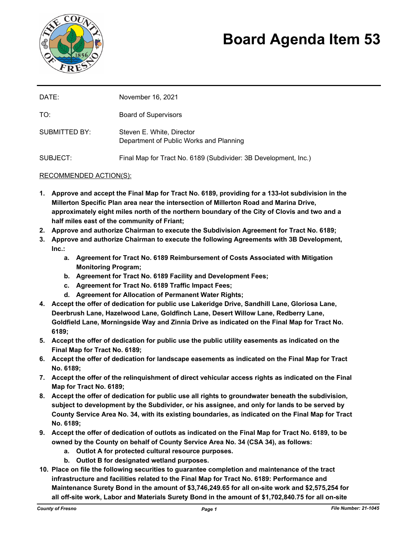

# **Board Agenda Item 53**

| DATE:         | November 16, 2021                                                    |
|---------------|----------------------------------------------------------------------|
| TO:           | <b>Board of Supervisors</b>                                          |
| SUBMITTED BY: | Steven E. White, Director<br>Department of Public Works and Planning |
| SUBJECT:      | Final Map for Tract No. 6189 (Subdivider: 3B Development, Inc.)      |

#### RECOMMENDED ACTION(S):

- **1. Approve and accept the Final Map for Tract No. 6189, providing for a 133-lot subdivision in the Millerton Specific Plan area near the intersection of Millerton Road and Marina Drive, approximately eight miles north of the northern boundary of the City of Clovis and two and a half miles east of the community of Friant;**
- **2. Approve and authorize Chairman to execute the Subdivision Agreement for Tract No. 6189;**
- **3. Approve and authorize Chairman to execute the following Agreements with 3B Development, Inc.:**
	- **a. Agreement for Tract No. 6189 Reimbursement of Costs Associated with Mitigation Monitoring Program;**
	- **b. Agreement for Tract No. 6189 Facility and Development Fees;**
	- **c. Agreement for Tract No. 6189 Traffic Impact Fees;**
	- **d. Agreement for Allocation of Permanent Water Rights;**
- **4. Accept the offer of dedication for public use Lakeridge Drive, Sandhill Lane, Gloriosa Lane, Deerbrush Lane, Hazelwood Lane, Goldfinch Lane, Desert Willow Lane, Redberry Lane, Goldfield Lane, Morningside Way and Zinnia Drive as indicated on the Final Map for Tract No. 6189;**
- **5. Accept the offer of dedication for public use the public utility easements as indicated on the Final Map for Tract No. 6189;**
- **6. Accept the offer of dedication for landscape easements as indicated on the Final Map for Tract No. 6189;**
- **7. Accept the offer of the relinquishment of direct vehicular access rights as indicated on the Final Map for Tract No. 6189;**
- **8. Accept the offer of dedication for public use all rights to groundwater beneath the subdivision, subject to development by the Subdivider, or his assignee, and only for lands to be served by County Service Area No. 34, with its existing boundaries, as indicated on the Final Map for Tract No. 6189;**
- **9. Accept the offer of dedication of outlots as indicated on the Final Map for Tract No. 6189, to be owned by the County on behalf of County Service Area No. 34 (CSA 34), as follows:**
	- **a. Outlot A for protected cultural resource purposes.**
	- **b. Outlot B for designated wetland purposes.**
- **10. Place on file the following securities to guarantee completion and maintenance of the tract infrastructure and facilities related to the Final Map for Tract No. 6189: Performance and Maintenance Surety Bond in the amount of \$3,746,249.65 for all on-site work and \$2,575,254 for all off-site work, Labor and Materials Surety Bond in the amount of \$1,702,840.75 for all on-site**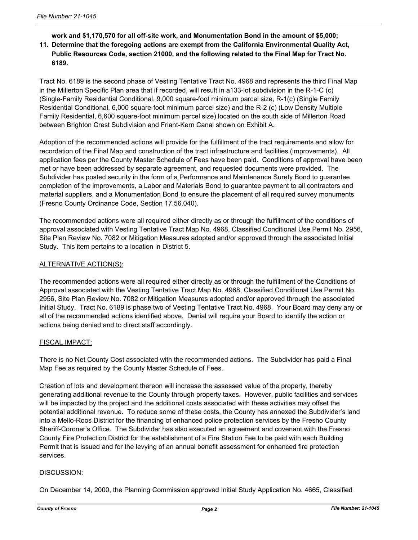# **work and \$1,170,570 for all off-site work, and Monumentation Bond in the amount of \$5,000; 11. Determine that the foregoing actions are exempt from the California Environmental Quality Act, Public Resources Code, section 21000, and the following related to the Final Map for Tract No. 6189.**

Tract No. 6189 is the second phase of Vesting Tentative Tract No. 4968 and represents the third Final Map in the Millerton Specific Plan area that if recorded, will result in a133-lot subdivision in the R-1-C (c) (Single-Family Residential Conditional, 9,000 square-foot minimum parcel size, R-1(c) (Single Family Residential Conditional, 6,000 square-foot minimum parcel size) and the R-2 (c) (Low Density Multiple Family Residential, 6,600 square-foot minimum parcel size) located on the south side of Millerton Road between Brighton Crest Subdivision and Friant-Kern Canal shown on Exhibit A.

Adoption of the recommended actions will provide for the fulfillment of the tract requirements and allow for recordation of the Final Map and construction of the tract infrastructure and facilities (improvements). All application fees per the County Master Schedule of Fees have been paid. Conditions of approval have been met or have been addressed by separate agreement, and requested documents were provided. The Subdivider has posted security in the form of a Performance and Maintenance Surety Bond to guarantee completion of the improvements, a Labor and Materials Bond to guarantee payment to all contractors and material suppliers, and a Monumentation Bond to ensure the placement of all required survey monuments (Fresno County Ordinance Code, Section 17.56.040).

The recommended actions were all required either directly as or through the fulfillment of the conditions of approval associated with Vesting Tentative Tract Map No. 4968, Classified Conditional Use Permit No. 2956, Site Plan Review No. 7082 or Mitigation Measures adopted and/or approved through the associated Initial Study. This item pertains to a location in District 5.

## ALTERNATIVE ACTION(S):

The recommended actions were all required either directly as or through the fulfillment of the Conditions of Approval associated with the Vesting Tentative Tract Map No. 4968, Classified Conditional Use Permit No. 2956, Site Plan Review No. 7082 or Mitigation Measures adopted and/or approved through the associated Initial Study. Tract No. 6189 is phase two of Vesting Tentative Tract No. 4968. Your Board may deny any or all of the recommended actions identified above. Denial will require your Board to identify the action or actions being denied and to direct staff accordingly.

## FISCAL IMPACT:

There is no Net County Cost associated with the recommended actions. The Subdivider has paid a Final Map Fee as required by the County Master Schedule of Fees.

Creation of lots and development thereon will increase the assessed value of the property, thereby generating additional revenue to the County through property taxes. However, public facilities and services will be impacted by the project and the additional costs associated with these activities may offset the potential additional revenue. To reduce some of these costs, the County has annexed the Subdivider's land into a Mello-Roos District for the financing of enhanced police protection services by the Fresno County Sheriff-Coroner's Office. The Subdivider has also executed an agreement and covenant with the Fresno County Fire Protection District for the establishment of a Fire Station Fee to be paid with each Building Permit that is issued and for the levying of an annual benefit assessment for enhanced fire protection services.

## DISCUSSION:

On December 14, 2000, the Planning Commission approved Initial Study Application No. 4665, Classified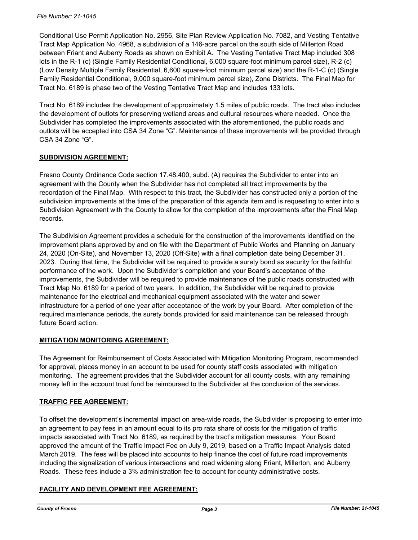Conditional Use Permit Application No. 2956, Site Plan Review Application No. 7082, and Vesting Tentative Tract Map Application No. 4968, a subdivision of a 146-acre parcel on the south side of Millerton Road between Friant and Auberry Roads as shown on Exhibit A. The Vesting Tentative Tract Map included 308 lots in the R-1 (c) (Single Family Residential Conditional, 6,000 square-foot minimum parcel size), R-2 (c) (Low Density Multiple Family Residential, 6,600 square-foot minimum parcel size) and the R-1-C (c) (Single Family Residential Conditional, 9,000 square-foot minimum parcel size), Zone Districts. The Final Map for Tract No. 6189 is phase two of the Vesting Tentative Tract Map and includes 133 lots.

Tract No. 6189 includes the development of approximately 1.5 miles of public roads. The tract also includes the development of outlots for preserving wetland areas and cultural resources where needed. Once the Subdivider has completed the improvements associated with the aforementioned, the public roads and outlots will be accepted into CSA 34 Zone "G". Maintenance of these improvements will be provided through CSA 34 Zone "G".

## **SUBDIVISION AGREEMENT:**

Fresno County Ordinance Code section 17.48.400, subd. (A) requires the Subdivider to enter into an agreement with the County when the Subdivider has not completed all tract improvements by the recordation of the Final Map. With respect to this tract, the Subdivider has constructed only a portion of the subdivision improvements at the time of the preparation of this agenda item and is requesting to enter into a Subdivision Agreement with the County to allow for the completion of the improvements after the Final Map records.

The Subdivision Agreement provides a schedule for the construction of the improvements identified on the improvement plans approved by and on file with the Department of Public Works and Planning on January 24, 2020 (On-Site), and November 13, 2020 (Off-Site) with a final completion date being December 31, 2023. During that time, the Subdivider will be required to provide a surety bond as security for the faithful performance of the work. Upon the Subdivider's completion and your Board's acceptance of the improvements, the Subdivider will be required to provide maintenance of the public roads constructed with Tract Map No. 6189 for a period of two years. In addition, the Subdivider will be required to provide maintenance for the electrical and mechanical equipment associated with the water and sewer infrastructure for a period of one year after acceptance of the work by your Board. After completion of the required maintenance periods, the surety bonds provided for said maintenance can be released through future Board action.

## **MITIGATION MONITORING AGREEMENT:**

The Agreement for Reimbursement of Costs Associated with Mitigation Monitoring Program, recommended for approval, places money in an account to be used for county staff costs associated with mitigation monitoring. The agreement provides that the Subdivider account for all county costs, with any remaining money left in the account trust fund be reimbursed to the Subdivider at the conclusion of the services.

## **TRAFFIC FEE AGREEMENT:**

To offset the development's incremental impact on area-wide roads, the Subdivider is proposing to enter into an agreement to pay fees in an amount equal to its pro rata share of costs for the mitigation of traffic impacts associated with Tract No. 6189, as required by the tract's mitigation measures. Your Board approved the amount of the Traffic Impact Fee on July 9, 2019, based on a Traffic Impact Analysis dated March 2019. The fees will be placed into accounts to help finance the cost of future road improvements including the signalization of various intersections and road widening along Friant, Millerton, and Auberry Roads. These fees include a 3% administration fee to account for county administrative costs.

# **FACILITY AND DEVELOPMENT FEE AGREEMENT:**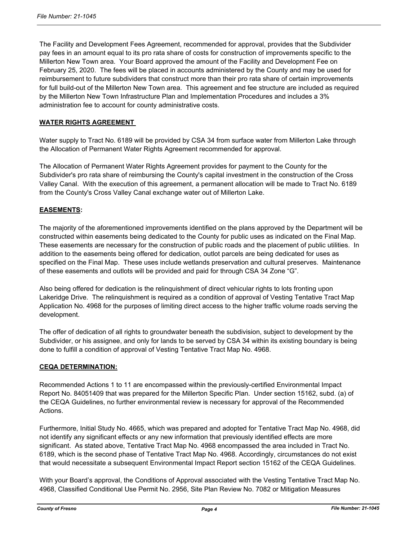The Facility and Development Fees Agreement, recommended for approval, provides that the Subdivider pay fees in an amount equal to its pro rata share of costs for construction of improvements specific to the Millerton New Town area. Your Board approved the amount of the Facility and Development Fee on February 25, 2020. The fees will be placed in accounts administered by the County and may be used for reimbursement to future subdividers that construct more than their pro rata share of certain improvements for full build-out of the Millerton New Town area. This agreement and fee structure are included as required by the Millerton New Town Infrastructure Plan and Implementation Procedures and includes a 3% administration fee to account for county administrative costs.

#### **WATER RIGHTS AGREEMENT**

Water supply to Tract No. 6189 will be provided by CSA 34 from surface water from Millerton Lake through the Allocation of Permanent Water Rights Agreement recommended for approval.

The Allocation of Permanent Water Rights Agreement provides for payment to the County for the Subdivider's pro rata share of reimbursing the County's capital investment in the construction of the Cross Valley Canal. With the execution of this agreement, a permanent allocation will be made to Tract No. 6189 from the County's Cross Valley Canal exchange water out of Millerton Lake.

## **EASEMENTS:**

The majority of the aforementioned improvements identified on the plans approved by the Department will be constructed within easements being dedicated to the County for public uses as indicated on the Final Map. These easements are necessary for the construction of public roads and the placement of public utilities. In addition to the easements being offered for dedication, outlot parcels are being dedicated for uses as specified on the Final Map. These uses include wetlands preservation and cultural preserves. Maintenance of these easements and outlots will be provided and paid for through CSA 34 Zone "G".

Also being offered for dedication is the relinquishment of direct vehicular rights to lots fronting upon Lakeridge Drive. The relinquishment is required as a condition of approval of Vesting Tentative Tract Map Application No. 4968 for the purposes of limiting direct access to the higher traffic volume roads serving the development.

The offer of dedication of all rights to groundwater beneath the subdivision, subject to development by the Subdivider, or his assignee, and only for lands to be served by CSA 34 within its existing boundary is being done to fulfill a condition of approval of Vesting Tentative Tract Map No. 4968.

## **CEQA DETERMINATION:**

Recommended Actions 1 to 11 are encompassed within the previously-certified Environmental Impact Report No. 84051409 that was prepared for the Millerton Specific Plan. Under section 15162, subd. (a) of the CEQA Guidelines, no further environmental review is necessary for approval of the Recommended Actions.

Furthermore, Initial Study No. 4665, which was prepared and adopted for Tentative Tract Map No. 4968, did not identify any significant effects or any new information that previously identified effects are more significant. As stated above, Tentative Tract Map No. 4968 encompassed the area included in Tract No. 6189, which is the second phase of Tentative Tract Map No. 4968. Accordingly, circumstances do not exist that would necessitate a subsequent Environmental Impact Report section 15162 of the CEQA Guidelines.

With your Board's approval, the Conditions of Approval associated with the Vesting Tentative Tract Map No. 4968, Classified Conditional Use Permit No. 2956, Site Plan Review No. 7082 or Mitigation Measures